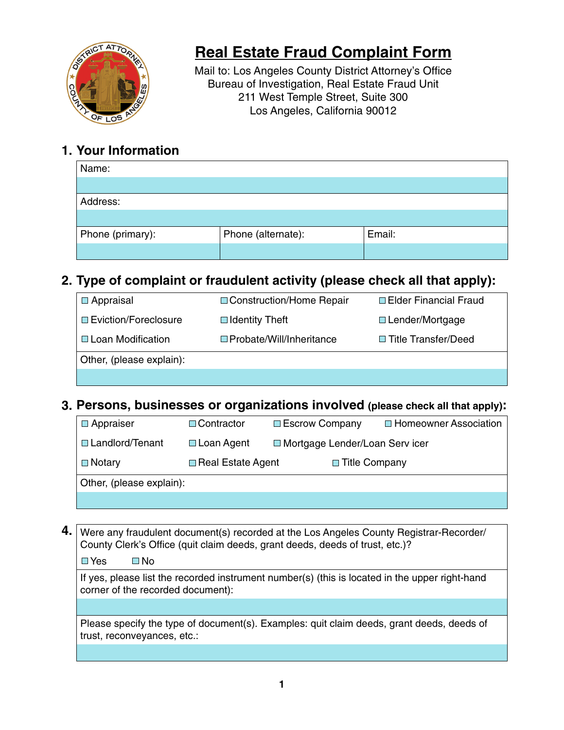

# **Real Estate Fraud Complaint Form**

Mail to: Los Angeles County District Attorney's Office Bureau of Investigation, Real Estate Fraud Unit 211 West Temple Street, Suite 300 Los Angeles, California 90012

### **1. Your Information**

| Name:            |                    |        |
|------------------|--------------------|--------|
|                  |                    |        |
| Address:         |                    |        |
|                  |                    |        |
| Phone (primary): | Phone (alternate): | Email: |
|                  |                    |        |

### **2. Type of complaint or fraudulent activity (please check all that apply):**

| $\Box$ Appraisal         | □ Construction/Home Repair      | □ Elder Financial Fraud |
|--------------------------|---------------------------------|-------------------------|
| □ Eviction/Foreclosure   | $\Box$ Identity Theft           | $\Box$ Lender/Mortgage  |
| □ Loan Modification      | $\Box$ Probate/Will/Inheritance | □ Title Transfer/Deed   |
| Other, (please explain): |                                 |                         |
|                          |                                 |                         |

### **3. Persons, businesses or organizations involved (please check all that apply):**

| $\Box$ Appraiser         | □ Contractor      | □ Escrow Company                 |                      | □ Homeowner Association |
|--------------------------|-------------------|----------------------------------|----------------------|-------------------------|
| □ Landlord/Tenant        | $\Box$ Loan Agent | □ Mortgage Lender/Loan Serv icer |                      |                         |
| $\square$ Notary         | Real Estate Agent |                                  | $\Box$ Title Company |                         |
| Other, (please explain): |                   |                                  |                      |                         |
|                          |                   |                                  |                      |                         |

### Were any fraudulent document(s) recorded at the Los Angeles County Registrar-Recorder/ **4.**County Clerk's Office (quit claim deeds, grant deeds, deeds of trust, etc.)?

 $\Box$  Yes  $\Box$  No

If yes, please list the recorded instrument number(s) (this is located in the upper right-hand corner of the recorded document):

Please specify the type of document(s). Examples: quit claim deeds, grant deeds, deeds of trust, reconveyances, etc.: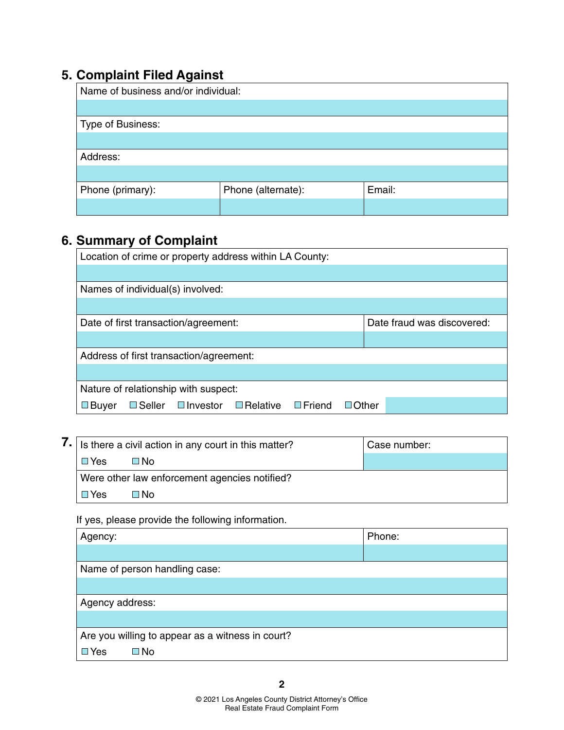## **5. Complaint Filed Against**

| ÷<br>Name of business and/or individual: |                    |        |
|------------------------------------------|--------------------|--------|
|                                          |                    |        |
| Type of Business:                        |                    |        |
|                                          |                    |        |
| Address:                                 |                    |        |
|                                          |                    |        |
| Phone (primary):                         | Phone (alternate): | Email: |
|                                          |                    |        |

# **6. Summary of Complaint**

| Location of crime or property address within LA County:                                             |                            |  |
|-----------------------------------------------------------------------------------------------------|----------------------------|--|
|                                                                                                     |                            |  |
| Names of individual(s) involved:                                                                    |                            |  |
|                                                                                                     |                            |  |
| Date of first transaction/agreement:                                                                | Date fraud was discovered: |  |
|                                                                                                     |                            |  |
| Address of first transaction/agreement:                                                             |                            |  |
|                                                                                                     |                            |  |
| Nature of relationship with suspect:                                                                |                            |  |
| $\square$ Friend<br>$\square$ Seller<br>$\square$ Relative<br>$\square$ Investor<br>$\square$ Buyer | $\Box$ Other               |  |

| $\mathcal{L}$   Is there a civil action in any court in this matter? |                                               | ' Case number: |
|----------------------------------------------------------------------|-----------------------------------------------|----------------|
| □ Yes                                                                | ⊟ No                                          |                |
|                                                                      | Were other law enforcement agencies notified? |                |
| $\Box$ Yes                                                           | ⊟N∩                                           |                |

If yes, please provide the following information.

| Phone:                                           |  |  |
|--------------------------------------------------|--|--|
|                                                  |  |  |
| Name of person handling case:                    |  |  |
|                                                  |  |  |
| Agency address:                                  |  |  |
|                                                  |  |  |
| Are you willing to appear as a witness in court? |  |  |
| $\square$ Yes<br>⊟ No                            |  |  |
|                                                  |  |  |